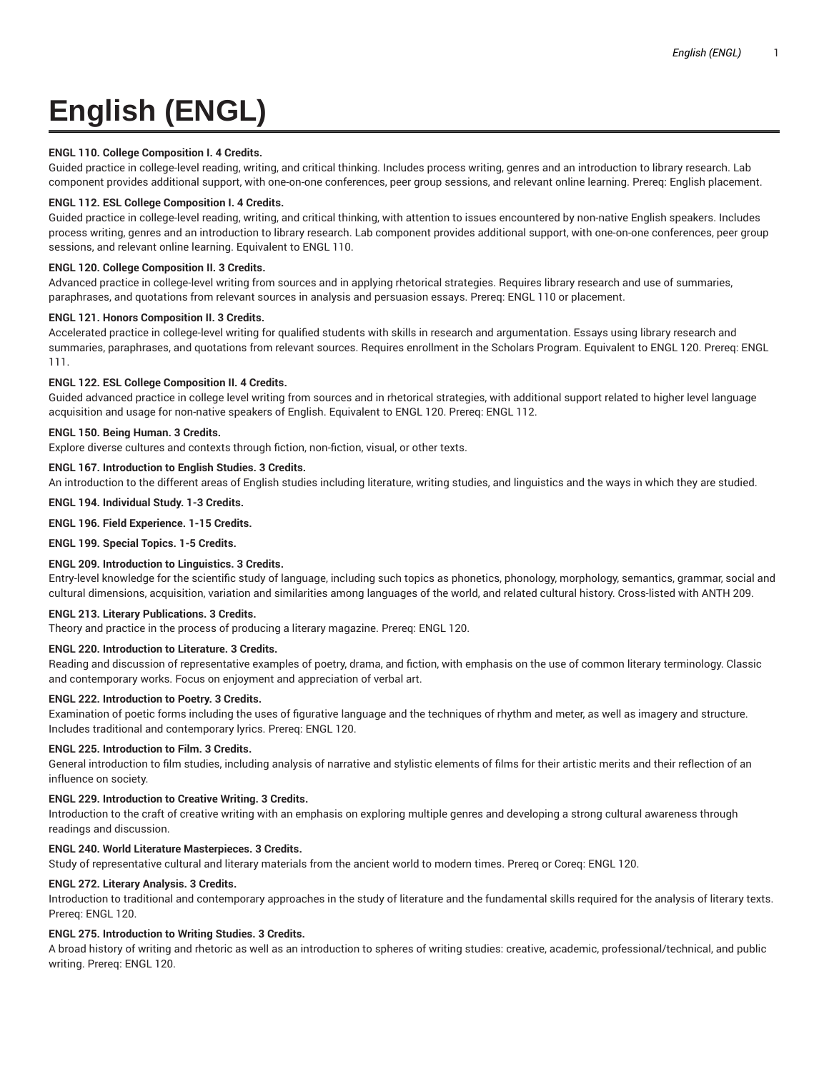# **English (ENGL)**

# **ENGL 110. College Composition I. 4 Credits.**

Guided practice in college-level reading, writing, and critical thinking. Includes process writing, genres and an introduction to library research. Lab component provides additional support, with one-on-one conferences, peer group sessions, and relevant online learning. Prereq: English placement.

# **ENGL 112. ESL College Composition I. 4 Credits.**

Guided practice in college-level reading, writing, and critical thinking, with attention to issues encountered by non-native English speakers. Includes process writing, genres and an introduction to library research. Lab component provides additional support, with one-on-one conferences, peer group sessions, and relevant online learning. Equivalent to ENGL 110.

# **ENGL 120. College Composition II. 3 Credits.**

Advanced practice in college-level writing from sources and in applying rhetorical strategies. Requires library research and use of summaries, paraphrases, and quotations from relevant sources in analysis and persuasion essays. Prereq: ENGL 110 or placement.

# **ENGL 121. Honors Composition II. 3 Credits.**

Accelerated practice in college-level writing for qualified students with skills in research and argumentation. Essays using library research and summaries, paraphrases, and quotations from relevant sources. Requires enrollment in the Scholars Program. Equivalent to ENGL 120. Prereq: ENGL 111.

# **ENGL 122. ESL College Composition II. 4 Credits.**

Guided advanced practice in college level writing from sources and in rhetorical strategies, with additional support related to higher level language acquisition and usage for non-native speakers of English. Equivalent to ENGL 120. Prereq: ENGL 112.

# **ENGL 150. Being Human. 3 Credits.**

Explore diverse cultures and contexts through fiction, non-fiction, visual, or other texts.

# **ENGL 167. Introduction to English Studies. 3 Credits.**

An introduction to the different areas of English studies including literature, writing studies, and linguistics and the ways in which they are studied.

# **ENGL 194. Individual Study. 1-3 Credits.**

# **ENGL 196. Field Experience. 1-15 Credits.**

**ENGL 199. Special Topics. 1-5 Credits.**

# **ENGL 209. Introduction to Linguistics. 3 Credits.**

Entry-level knowledge for the scientific study of language, including such topics as phonetics, phonology, morphology, semantics, grammar, social and cultural dimensions, acquisition, variation and similarities among languages of the world, and related cultural history. Cross-listed with ANTH 209.

# **ENGL 213. Literary Publications. 3 Credits.**

Theory and practice in the process of producing a literary magazine. Prereq: ENGL 120.

# **ENGL 220. Introduction to Literature. 3 Credits.**

Reading and discussion of representative examples of poetry, drama, and fiction, with emphasis on the use of common literary terminology. Classic and contemporary works. Focus on enjoyment and appreciation of verbal art.

# **ENGL 222. Introduction to Poetry. 3 Credits.**

Examination of poetic forms including the uses of figurative language and the techniques of rhythm and meter, as well as imagery and structure. Includes traditional and contemporary lyrics. Prereq: ENGL 120.

# **ENGL 225. Introduction to Film. 3 Credits.**

General introduction to film studies, including analysis of narrative and stylistic elements of films for their artistic merits and their reflection of an influence on society.

# **ENGL 229. Introduction to Creative Writing. 3 Credits.**

Introduction to the craft of creative writing with an emphasis on exploring multiple genres and developing a strong cultural awareness through readings and discussion.

# **ENGL 240. World Literature Masterpieces. 3 Credits.**

Study of representative cultural and literary materials from the ancient world to modern times. Prereq or Coreq: ENGL 120.

# **ENGL 272. Literary Analysis. 3 Credits.**

Introduction to traditional and contemporary approaches in the study of literature and the fundamental skills required for the analysis of literary texts. Prereq: ENGL 120.

# **ENGL 275. Introduction to Writing Studies. 3 Credits.**

A broad history of writing and rhetoric as well as an introduction to spheres of writing studies: creative, academic, professional/technical, and public writing. Prereq: ENGL 120.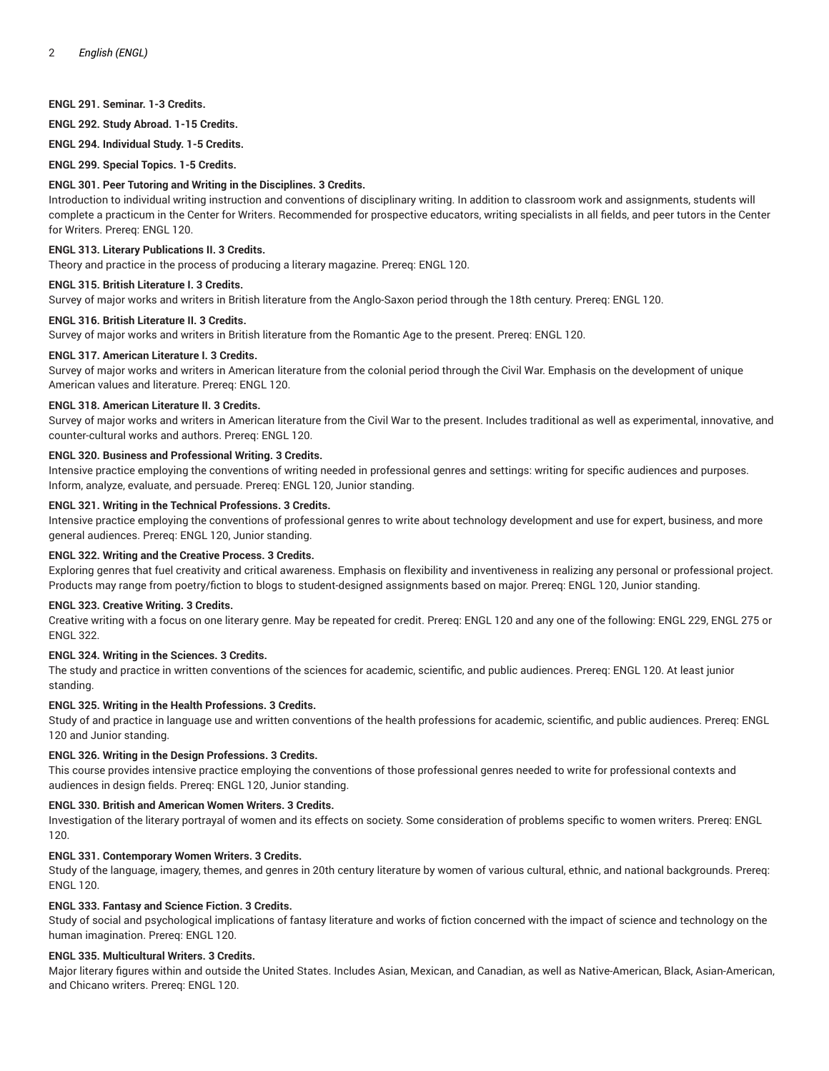# **ENGL 291. Seminar. 1-3 Credits.**

**ENGL 292. Study Abroad. 1-15 Credits.**

**ENGL 294. Individual Study. 1-5 Credits.**

**ENGL 299. Special Topics. 1-5 Credits.**

## **ENGL 301. Peer Tutoring and Writing in the Disciplines. 3 Credits.**

Introduction to individual writing instruction and conventions of disciplinary writing. In addition to classroom work and assignments, students will complete a practicum in the Center for Writers. Recommended for prospective educators, writing specialists in all fields, and peer tutors in the Center for Writers. Prereq: ENGL 120.

## **ENGL 313. Literary Publications II. 3 Credits.**

Theory and practice in the process of producing a literary magazine. Prereq: ENGL 120.

## **ENGL 315. British Literature I. 3 Credits.**

Survey of major works and writers in British literature from the Anglo-Saxon period through the 18th century. Prereq: ENGL 120.

## **ENGL 316. British Literature II. 3 Credits.**

Survey of major works and writers in British literature from the Romantic Age to the present. Prereq: ENGL 120.

## **ENGL 317. American Literature I. 3 Credits.**

Survey of major works and writers in American literature from the colonial period through the Civil War. Emphasis on the development of unique American values and literature. Prereq: ENGL 120.

## **ENGL 318. American Literature II. 3 Credits.**

Survey of major works and writers in American literature from the Civil War to the present. Includes traditional as well as experimental, innovative, and counter-cultural works and authors. Prereq: ENGL 120.

## **ENGL 320. Business and Professional Writing. 3 Credits.**

Intensive practice employing the conventions of writing needed in professional genres and settings: writing for specific audiences and purposes. Inform, analyze, evaluate, and persuade. Prereq: ENGL 120, Junior standing.

## **ENGL 321. Writing in the Technical Professions. 3 Credits.**

Intensive practice employing the conventions of professional genres to write about technology development and use for expert, business, and more general audiences. Prereq: ENGL 120, Junior standing.

## **ENGL 322. Writing and the Creative Process. 3 Credits.**

Exploring genres that fuel creativity and critical awareness. Emphasis on flexibility and inventiveness in realizing any personal or professional project. Products may range from poetry/fiction to blogs to student-designed assignments based on major. Prereq: ENGL 120, Junior standing.

#### **ENGL 323. Creative Writing. 3 Credits.**

Creative writing with a focus on one literary genre. May be repeated for credit. Prereq: ENGL 120 and any one of the following: ENGL 229, ENGL 275 or ENGL 322.

#### **ENGL 324. Writing in the Sciences. 3 Credits.**

The study and practice in written conventions of the sciences for academic, scientific, and public audiences. Prereq: ENGL 120. At least junior standing.

#### **ENGL 325. Writing in the Health Professions. 3 Credits.**

Study of and practice in language use and written conventions of the health professions for academic, scientific, and public audiences. Prereq: ENGL 120 and Junior standing.

## **ENGL 326. Writing in the Design Professions. 3 Credits.**

This course provides intensive practice employing the conventions of those professional genres needed to write for professional contexts and audiences in design fields. Prereq: ENGL 120, Junior standing.

#### **ENGL 330. British and American Women Writers. 3 Credits.**

Investigation of the literary portrayal of women and its effects on society. Some consideration of problems specific to women writers. Prereq: ENGL 120.

## **ENGL 331. Contemporary Women Writers. 3 Credits.**

Study of the language, imagery, themes, and genres in 20th century literature by women of various cultural, ethnic, and national backgrounds. Prereq: ENGL 120.

# **ENGL 333. Fantasy and Science Fiction. 3 Credits.**

Study of social and psychological implications of fantasy literature and works of fiction concerned with the impact of science and technology on the human imagination. Prereq: ENGL 120.

## **ENGL 335. Multicultural Writers. 3 Credits.**

Major literary figures within and outside the United States. Includes Asian, Mexican, and Canadian, as well as Native-American, Black, Asian-American, and Chicano writers. Prereq: ENGL 120.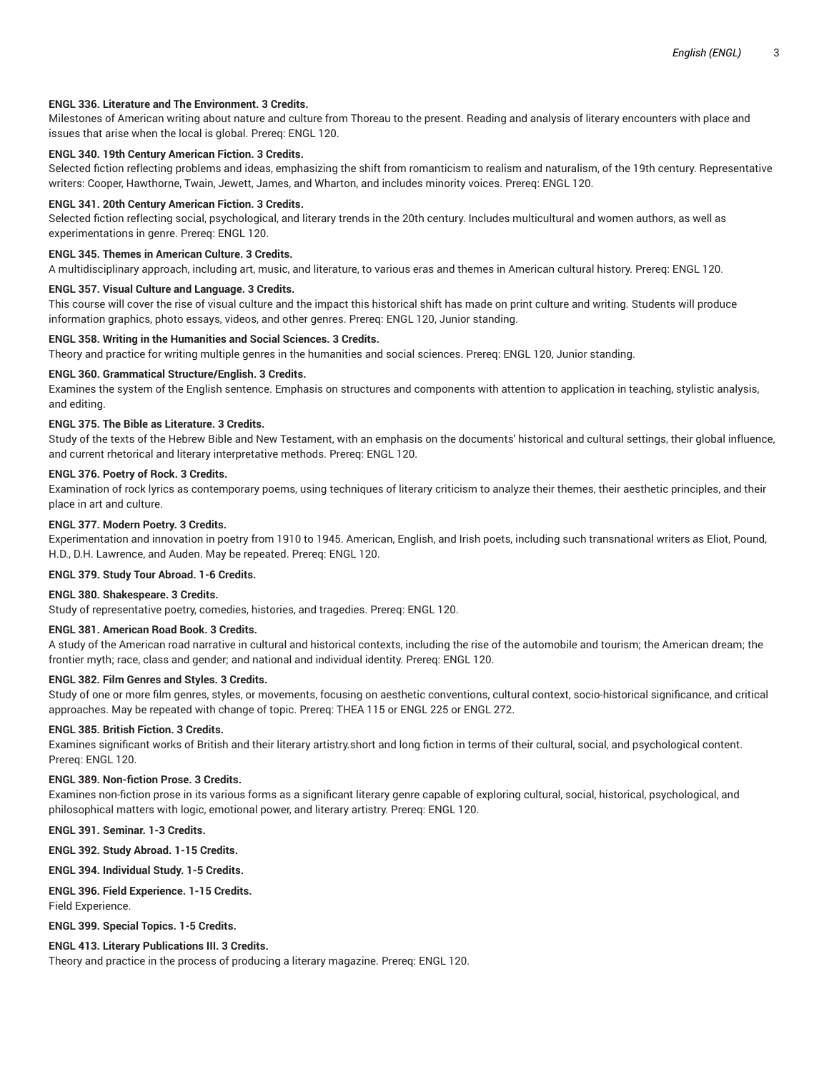# **ENGL 336. Literature and The Environment. 3 Credits.**

Milestones of American writing about nature and culture from Thoreau to the present. Reading and analysis of literary encounters with place and issues that arise when the local is global. Prereq: ENGL 120.

# **ENGL 340. 19th Century American Fiction. 3 Credits.**

Selected fiction reflecting problems and ideas, emphasizing the shift from romanticism to realism and naturalism, of the 19th century. Representative writers: Cooper, Hawthorne, Twain, Jewett, James, and Wharton, and includes minority voices. Prereq: ENGL 120.

### **ENGL 341. 20th Century American Fiction. 3 Credits.**

Selected fiction reflecting social, psychological, and literary trends in the 20th century. Includes multicultural and women authors, as well as experimentations in genre. Prereq: ENGL 120.

## **ENGL 345. Themes in American Culture. 3 Credits.**

A multidisciplinary approach, including art, music, and literature, to various eras and themes in American cultural history. Prereq: ENGL 120.

# **ENGL 357. Visual Culture and Language. 3 Credits.**

This course will cover the rise of visual culture and the impact this historical shift has made on print culture and writing. Students will produce information graphics, photo essays, videos, and other genres. Prereq: ENGL 120, Junior standing.

#### **ENGL 358. Writing in the Humanities and Social Sciences. 3 Credits.**

Theory and practice for writing multiple genres in the humanities and social sciences. Prereq: ENGL 120, Junior standing.

## **ENGL 360. Grammatical Structure/English. 3 Credits.**

Examines the system of the English sentence. Emphasis on structures and components with attention to application in teaching, stylistic analysis, and editing.

## **ENGL 375. The Bible as Literature. 3 Credits.**

Study of the texts of the Hebrew Bible and New Testament, with an emphasis on the documents' historical and cultural settings, their global influence, and current rhetorical and literary interpretative methods. Prereq: ENGL 120.

## **ENGL 376. Poetry of Rock. 3 Credits.**

Examination of rock lyrics as contemporary poems, using techniques of literary criticism to analyze their themes, their aesthetic principles, and their place in art and culture.

## **ENGL 377. Modern Poetry. 3 Credits.**

Experimentation and innovation in poetry from 1910 to 1945. American, English, and Irish poets, including such transnational writers as Eliot, Pound, H.D., D.H. Lawrence, and Auden. May be repeated. Prereq: ENGL 120.

## **ENGL 379. Study Tour Abroad. 1-6 Credits.**

## **ENGL 380. Shakespeare. 3 Credits.**

Study of representative poetry, comedies, histories, and tragedies. Prereq: ENGL 120.

## **ENGL 381. American Road Book. 3 Credits.**

A study of the American road narrative in cultural and historical contexts, including the rise of the automobile and tourism; the American dream; the frontier myth; race, class and gender; and national and individual identity. Prereq: ENGL 120.

## **ENGL 382. Film Genres and Styles. 3 Credits.**

Study of one or more film genres, styles, or movements, focusing on aesthetic conventions, cultural context, socio-historical significance, and critical approaches. May be repeated with change of topic. Prereq: THEA 115 or ENGL 225 or ENGL 272.

### **ENGL 385. British Fiction. 3 Credits.**

Examines significant works of British and their literary artistry.short and long fiction in terms of their cultural, social, and psychological content. Prereq: ENGL 120.

#### **ENGL 389. Non-fiction Prose. 3 Credits.**

Examines non-fiction prose in its various forms as a significant literary genre capable of exploring cultural, social, historical, psychological, and philosophical matters with logic, emotional power, and literary artistry. Prereq: ENGL 120.

## **ENGL 391. Seminar. 1-3 Credits.**

**ENGL 392. Study Abroad. 1-15 Credits.**

**ENGL 394. Individual Study. 1-5 Credits.**

# **ENGL 396. Field Experience. 1-15 Credits.**

Field Experience.

**ENGL 399. Special Topics. 1-5 Credits.**

## **ENGL 413. Literary Publications III. 3 Credits.**

Theory and practice in the process of producing a literary magazine. Prereq: ENGL 120.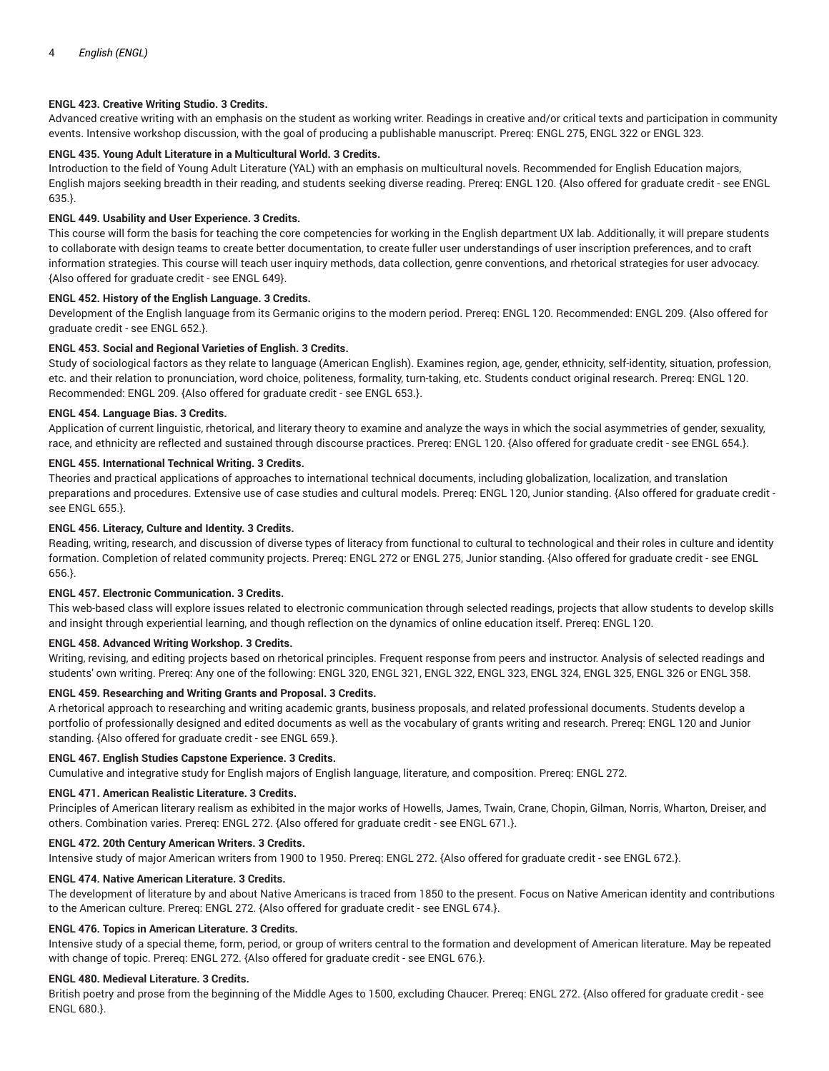# **ENGL 423. Creative Writing Studio. 3 Credits.**

Advanced creative writing with an emphasis on the student as working writer. Readings in creative and/or critical texts and participation in community events. Intensive workshop discussion, with the goal of producing a publishable manuscript. Prereq: ENGL 275, ENGL 322 or ENGL 323.

# **ENGL 435. Young Adult Literature in a Multicultural World. 3 Credits.**

Introduction to the field of Young Adult Literature (YAL) with an emphasis on multicultural novels. Recommended for English Education majors, English majors seeking breadth in their reading, and students seeking diverse reading. Prereq: ENGL 120. {Also offered for graduate credit - see ENGL 635.}.

# **ENGL 449. Usability and User Experience. 3 Credits.**

This course will form the basis for teaching the core competencies for working in the English department UX lab. Additionally, it will prepare students to collaborate with design teams to create better documentation, to create fuller user understandings of user inscription preferences, and to craft information strategies. This course will teach user inquiry methods, data collection, genre conventions, and rhetorical strategies for user advocacy. {Also offered for graduate credit - see ENGL 649}.

# **ENGL 452. History of the English Language. 3 Credits.**

Development of the English language from its Germanic origins to the modern period. Prereq: ENGL 120. Recommended: ENGL 209. {Also offered for graduate credit - see ENGL 652.}.

# **ENGL 453. Social and Regional Varieties of English. 3 Credits.**

Study of sociological factors as they relate to language (American English). Examines region, age, gender, ethnicity, self-identity, situation, profession, etc. and their relation to pronunciation, word choice, politeness, formality, turn-taking, etc. Students conduct original research. Prereq: ENGL 120. Recommended: ENGL 209. {Also offered for graduate credit - see ENGL 653.}.

# **ENGL 454. Language Bias. 3 Credits.**

Application of current linguistic, rhetorical, and literary theory to examine and analyze the ways in which the social asymmetries of gender, sexuality, race, and ethnicity are reflected and sustained through discourse practices. Prereq: ENGL 120. {Also offered for graduate credit - see ENGL 654.}.

# **ENGL 455. International Technical Writing. 3 Credits.**

Theories and practical applications of approaches to international technical documents, including globalization, localization, and translation preparations and procedures. Extensive use of case studies and cultural models. Prereq: ENGL 120, Junior standing. {Also offered for graduate credit see ENGL 655.}.

# **ENGL 456. Literacy, Culture and Identity. 3 Credits.**

Reading, writing, research, and discussion of diverse types of literacy from functional to cultural to technological and their roles in culture and identity formation. Completion of related community projects. Prereq: ENGL 272 or ENGL 275, Junior standing. {Also offered for graduate credit - see ENGL 656.}.

# **ENGL 457. Electronic Communication. 3 Credits.**

This web-based class will explore issues related to electronic communication through selected readings, projects that allow students to develop skills and insight through experiential learning, and though reflection on the dynamics of online education itself. Prereq: ENGL 120.

# **ENGL 458. Advanced Writing Workshop. 3 Credits.**

Writing, revising, and editing projects based on rhetorical principles. Frequent response from peers and instructor. Analysis of selected readings and students' own writing. Prereq: Any one of the following: ENGL 320, ENGL 321, ENGL 322, ENGL 323, ENGL 324, ENGL 325, ENGL 326 or ENGL 358.

# **ENGL 459. Researching and Writing Grants and Proposal. 3 Credits.**

A rhetorical approach to researching and writing academic grants, business proposals, and related professional documents. Students develop a portfolio of professionally designed and edited documents as well as the vocabulary of grants writing and research. Prereq: ENGL 120 and Junior standing. {Also offered for graduate credit - see ENGL 659.}.

# **ENGL 467. English Studies Capstone Experience. 3 Credits.**

Cumulative and integrative study for English majors of English language, literature, and composition. Prereq: ENGL 272.

# **ENGL 471. American Realistic Literature. 3 Credits.**

Principles of American literary realism as exhibited in the major works of Howells, James, Twain, Crane, Chopin, Gilman, Norris, Wharton, Dreiser, and others. Combination varies. Prereq: ENGL 272. {Also offered for graduate credit - see ENGL 671.}.

# **ENGL 472. 20th Century American Writers. 3 Credits.**

Intensive study of major American writers from 1900 to 1950. Prereq: ENGL 272. {Also offered for graduate credit - see ENGL 672.}.

# **ENGL 474. Native American Literature. 3 Credits.**

The development of literature by and about Native Americans is traced from 1850 to the present. Focus on Native American identity and contributions to the American culture. Prereq: ENGL 272. {Also offered for graduate credit - see ENGL 674.}.

# **ENGL 476. Topics in American Literature. 3 Credits.**

Intensive study of a special theme, form, period, or group of writers central to the formation and development of American literature. May be repeated with change of topic. Prereq: ENGL 272. {Also offered for graduate credit - see ENGL 676.}.

# **ENGL 480. Medieval Literature. 3 Credits.**

British poetry and prose from the beginning of the Middle Ages to 1500, excluding Chaucer. Prereq: ENGL 272. {Also offered for graduate credit - see ENGL 680.}.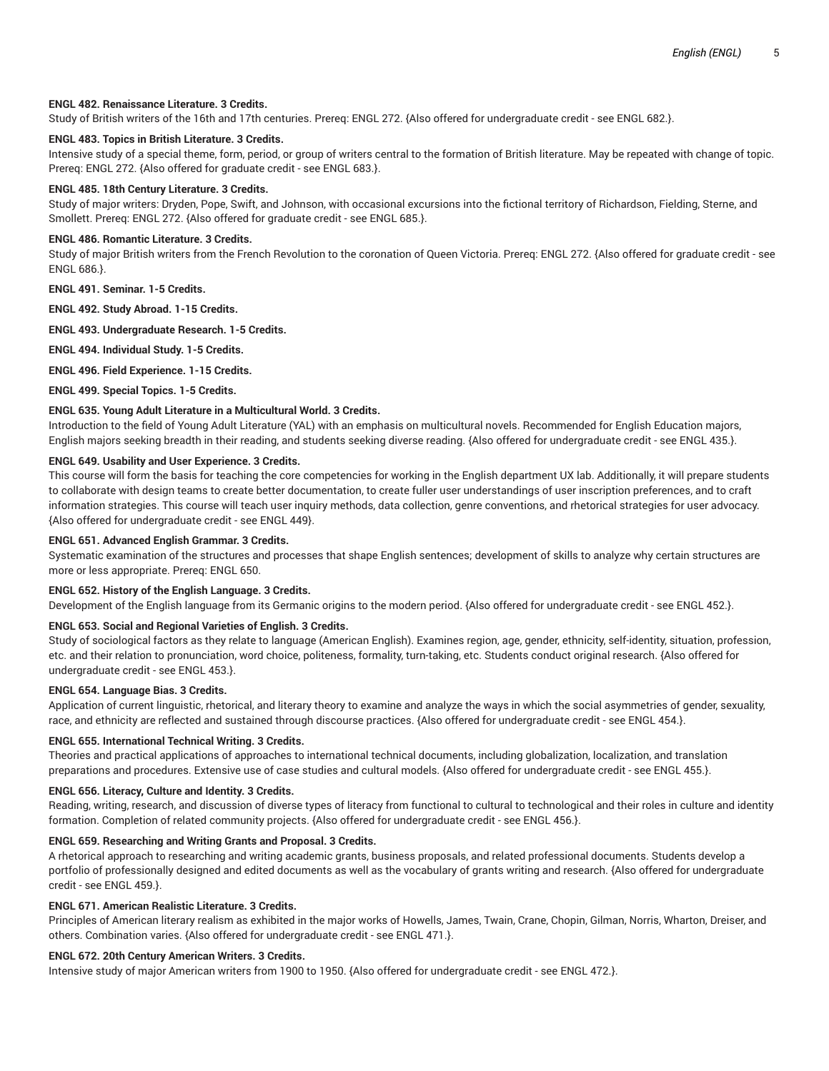*English (ENGL)* 5

## **ENGL 482. Renaissance Literature. 3 Credits.**

Study of British writers of the 16th and 17th centuries. Prereq: ENGL 272. {Also offered for undergraduate credit - see ENGL 682.}.

## **ENGL 483. Topics in British Literature. 3 Credits.**

Intensive study of a special theme, form, period, or group of writers central to the formation of British literature. May be repeated with change of topic. Prereq: ENGL 272. {Also offered for graduate credit - see ENGL 683.}.

# **ENGL 485. 18th Century Literature. 3 Credits.**

Study of major writers: Dryden, Pope, Swift, and Johnson, with occasional excursions into the fictional territory of Richardson, Fielding, Sterne, and Smollett. Prereq: ENGL 272. {Also offered for graduate credit - see ENGL 685.}.

## **ENGL 486. Romantic Literature. 3 Credits.**

Study of major British writers from the French Revolution to the coronation of Queen Victoria. Prereq: ENGL 272. {Also offered for graduate credit - see ENGL 686.}.

**ENGL 491. Seminar. 1-5 Credits.**

**ENGL 492. Study Abroad. 1-15 Credits.**

**ENGL 493. Undergraduate Research. 1-5 Credits.**

**ENGL 494. Individual Study. 1-5 Credits.**

**ENGL 496. Field Experience. 1-15 Credits.**

**ENGL 499. Special Topics. 1-5 Credits.**

## **ENGL 635. Young Adult Literature in a Multicultural World. 3 Credits.**

Introduction to the field of Young Adult Literature (YAL) with an emphasis on multicultural novels. Recommended for English Education majors, English majors seeking breadth in their reading, and students seeking diverse reading. {Also offered for undergraduate credit - see ENGL 435.}.

# **ENGL 649. Usability and User Experience. 3 Credits.**

This course will form the basis for teaching the core competencies for working in the English department UX lab. Additionally, it will prepare students to collaborate with design teams to create better documentation, to create fuller user understandings of user inscription preferences, and to craft information strategies. This course will teach user inquiry methods, data collection, genre conventions, and rhetorical strategies for user advocacy. {Also offered for undergraduate credit - see ENGL 449}.

## **ENGL 651. Advanced English Grammar. 3 Credits.**

Systematic examination of the structures and processes that shape English sentences; development of skills to analyze why certain structures are more or less appropriate. Prereq: ENGL 650.

#### **ENGL 652. History of the English Language. 3 Credits.**

Development of the English language from its Germanic origins to the modern period. {Also offered for undergraduate credit - see ENGL 452.}.

# **ENGL 653. Social and Regional Varieties of English. 3 Credits.**

Study of sociological factors as they relate to language (American English). Examines region, age, gender, ethnicity, self-identity, situation, profession, etc. and their relation to pronunciation, word choice, politeness, formality, turn-taking, etc. Students conduct original research. {Also offered for undergraduate credit - see ENGL 453.}.

## **ENGL 654. Language Bias. 3 Credits.**

Application of current linguistic, rhetorical, and literary theory to examine and analyze the ways in which the social asymmetries of gender, sexuality, race, and ethnicity are reflected and sustained through discourse practices. {Also offered for undergraduate credit - see ENGL 454.}.

# **ENGL 655. International Technical Writing. 3 Credits.**

Theories and practical applications of approaches to international technical documents, including globalization, localization, and translation preparations and procedures. Extensive use of case studies and cultural models. {Also offered for undergraduate credit - see ENGL 455.}.

#### **ENGL 656. Literacy, Culture and Identity. 3 Credits.**

Reading, writing, research, and discussion of diverse types of literacy from functional to cultural to technological and their roles in culture and identity formation. Completion of related community projects. {Also offered for undergraduate credit - see ENGL 456.}.

# **ENGL 659. Researching and Writing Grants and Proposal. 3 Credits.**

A rhetorical approach to researching and writing academic grants, business proposals, and related professional documents. Students develop a portfolio of professionally designed and edited documents as well as the vocabulary of grants writing and research. {Also offered for undergraduate credit - see ENGL 459.}.

# **ENGL 671. American Realistic Literature. 3 Credits.**

Principles of American literary realism as exhibited in the major works of Howells, James, Twain, Crane, Chopin, Gilman, Norris, Wharton, Dreiser, and others. Combination varies. {Also offered for undergraduate credit - see ENGL 471.}.

# **ENGL 672. 20th Century American Writers. 3 Credits.**

Intensive study of major American writers from 1900 to 1950. {Also offered for undergraduate credit - see ENGL 472.}.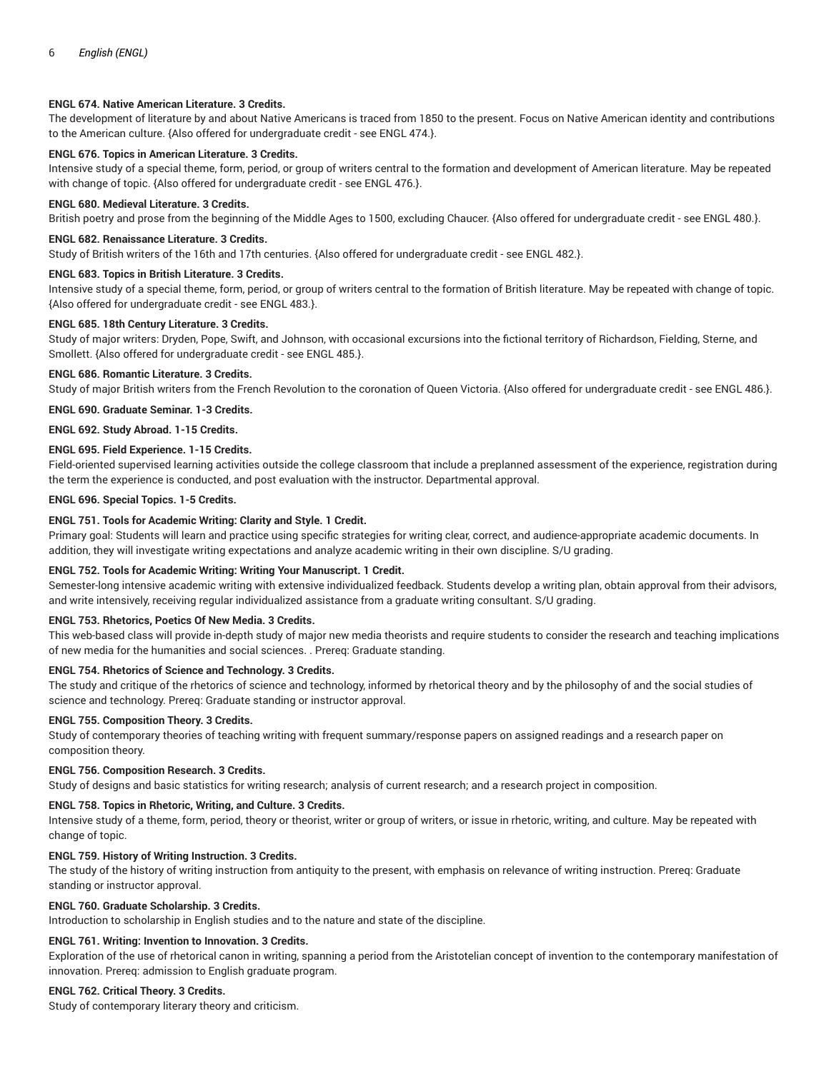# **ENGL 674. Native American Literature. 3 Credits.**

The development of literature by and about Native Americans is traced from 1850 to the present. Focus on Native American identity and contributions to the American culture. {Also offered for undergraduate credit - see ENGL 474.}.

# **ENGL 676. Topics in American Literature. 3 Credits.**

Intensive study of a special theme, form, period, or group of writers central to the formation and development of American literature. May be repeated with change of topic. {Also offered for undergraduate credit - see ENGL 476.}.

## **ENGL 680. Medieval Literature. 3 Credits.**

British poetry and prose from the beginning of the Middle Ages to 1500, excluding Chaucer. {Also offered for undergraduate credit - see ENGL 480.}.

# **ENGL 682. Renaissance Literature. 3 Credits.**

Study of British writers of the 16th and 17th centuries. {Also offered for undergraduate credit - see ENGL 482.}.

## **ENGL 683. Topics in British Literature. 3 Credits.**

Intensive study of a special theme, form, period, or group of writers central to the formation of British literature. May be repeated with change of topic. {Also offered for undergraduate credit - see ENGL 483.}.

#### **ENGL 685. 18th Century Literature. 3 Credits.**

Study of major writers: Dryden, Pope, Swift, and Johnson, with occasional excursions into the fictional territory of Richardson, Fielding, Sterne, and Smollett. {Also offered for undergraduate credit - see ENGL 485.}.

#### **ENGL 686. Romantic Literature. 3 Credits.**

Study of major British writers from the French Revolution to the coronation of Queen Victoria. {Also offered for undergraduate credit - see ENGL 486.}.

**ENGL 690. Graduate Seminar. 1-3 Credits.**

**ENGL 692. Study Abroad. 1-15 Credits.**

# **ENGL 695. Field Experience. 1-15 Credits.**

Field-oriented supervised learning activities outside the college classroom that include a preplanned assessment of the experience, registration during the term the experience is conducted, and post evaluation with the instructor. Departmental approval.

## **ENGL 696. Special Topics. 1-5 Credits.**

## **ENGL 751. Tools for Academic Writing: Clarity and Style. 1 Credit.**

Primary goal: Students will learn and practice using specific strategies for writing clear, correct, and audience-appropriate academic documents. In addition, they will investigate writing expectations and analyze academic writing in their own discipline. S/U grading.

## **ENGL 752. Tools for Academic Writing: Writing Your Manuscript. 1 Credit.**

Semester-long intensive academic writing with extensive individualized feedback. Students develop a writing plan, obtain approval from their advisors, and write intensively, receiving regular individualized assistance from a graduate writing consultant. S/U grading.

#### **ENGL 753. Rhetorics, Poetics Of New Media. 3 Credits.**

This web-based class will provide in-depth study of major new media theorists and require students to consider the research and teaching implications of new media for the humanities and social sciences. . Prereq: Graduate standing.

## **ENGL 754. Rhetorics of Science and Technology. 3 Credits.**

The study and critique of the rhetorics of science and technology, informed by rhetorical theory and by the philosophy of and the social studies of science and technology. Prereq: Graduate standing or instructor approval.

## **ENGL 755. Composition Theory. 3 Credits.**

Study of contemporary theories of teaching writing with frequent summary/response papers on assigned readings and a research paper on composition theory.

## **ENGL 756. Composition Research. 3 Credits.**

Study of designs and basic statistics for writing research; analysis of current research; and a research project in composition.

## **ENGL 758. Topics in Rhetoric, Writing, and Culture. 3 Credits.**

Intensive study of a theme, form, period, theory or theorist, writer or group of writers, or issue in rhetoric, writing, and culture. May be repeated with change of topic.

# **ENGL 759. History of Writing Instruction. 3 Credits.**

The study of the history of writing instruction from antiquity to the present, with emphasis on relevance of writing instruction. Prereq: Graduate standing or instructor approval.

#### **ENGL 760. Graduate Scholarship. 3 Credits.**

Introduction to scholarship in English studies and to the nature and state of the discipline.

# **ENGL 761. Writing: Invention to Innovation. 3 Credits.**

Exploration of the use of rhetorical canon in writing, spanning a period from the Aristotelian concept of invention to the contemporary manifestation of innovation. Prereq: admission to English graduate program.

# **ENGL 762. Critical Theory. 3 Credits.**

Study of contemporary literary theory and criticism.